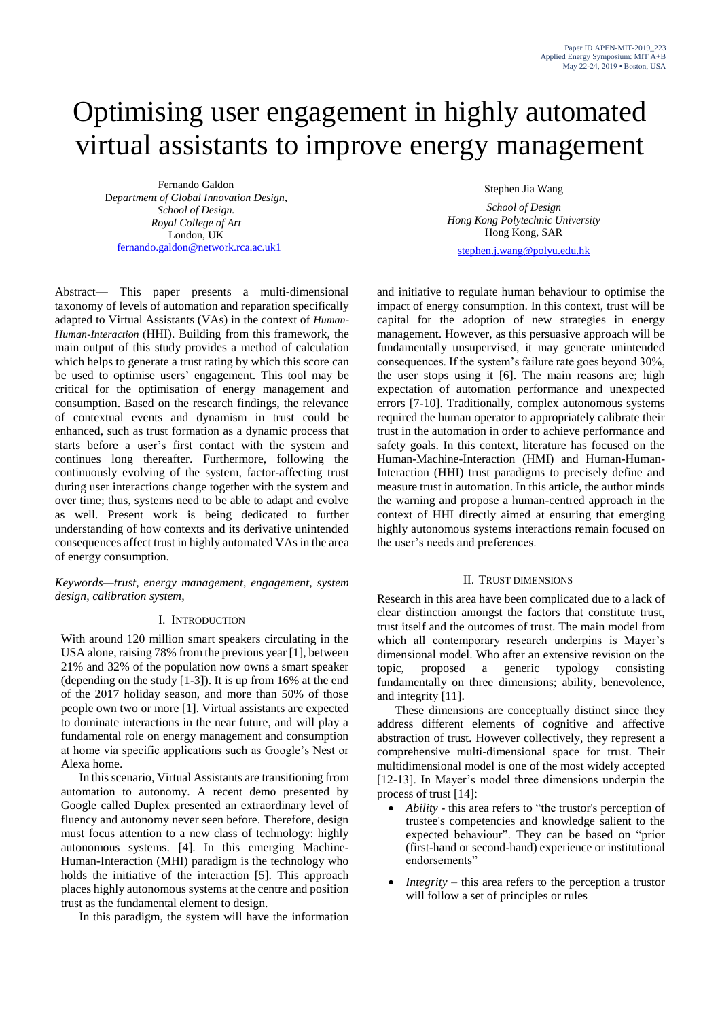# Optimising user engagement in highly automated virtual assistants to improve energy management

Fernando Galdon D*epartment of Global Innovation Design, School of Design. Royal College of Art* London, UK [fernando.galdon@network.rca.ac.uk1](mailto:fernando.galdon@network.rca.ac.uk1)

Stephen Jia Wang

*School of Design Hong Kong Polytechnic University* Hong Kong, SAR

stephen.j.wang@polyu.edu.hk

Abstract— This paper presents a multi-dimensional taxonomy of levels of automation and reparation specifically adapted to Virtual Assistants (VAs) in the context of *Human-Human-Interaction* (HHI). Building from this framework, the main output of this study provides a method of calculation which helps to generate a trust rating by which this score can be used to optimise users' engagement. This tool may be critical for the optimisation of energy management and consumption. Based on the research findings, the relevance of contextual events and dynamism in trust could be enhanced, such as trust formation as a dynamic process that starts before a user's first contact with the system and continues long thereafter. Furthermore, following the continuously evolving of the system, factor-affecting trust during user interactions change together with the system and over time; thus, systems need to be able to adapt and evolve as well. Present work is being dedicated to further understanding of how contexts and its derivative unintended consequences affect trust in highly automated VAs in the area of energy consumption.

*Keywords—trust, energy management, engagement, system design, calibration system,*

## I. INTRODUCTION

With around 120 million smart speakers circulating in the USA alone, raising 78% from the previous year [1], between 21% and 32% of the population now owns a smart speaker (depending on the study [1-3]). It is up from 16% at the end of the 2017 holiday season, and more than 50% of those people own two or more [1]. Virtual assistants are expected to dominate interactions in the near future, and will play a fundamental role on energy management and consumption at home via specific applications such as Google's Nest or Alexa home.

In this scenario, Virtual Assistants are transitioning from automation to autonomy. A recent demo presented by Google called Duplex presented an extraordinary level of fluency and autonomy never seen before. Therefore, design must focus attention to a new class of technology: highly autonomous systems. [4]. In this emerging Machine-Human-Interaction (MHI) paradigm is the technology who holds the initiative of the interaction [5]. This approach places highly autonomous systems at the centre and position trust as the fundamental element to design.

In this paradigm, the system will have the information

and initiative to regulate human behaviour to optimise the impact of energy consumption. In this context, trust will be capital for the adoption of new strategies in energy management. However, as this persuasive approach will be fundamentally unsupervised, it may generate unintended consequences. If the system's failure rate goes beyond 30%, the user stops using it [6]. The main reasons are; high expectation of automation performance and unexpected errors [7-10]. Traditionally, complex autonomous systems required the human operator to appropriately calibrate their trust in the automation in order to achieve performance and safety goals. In this context, literature has focused on the Human-Machine-Interaction (HMI) and Human-Human-Interaction (HHI) trust paradigms to precisely define and measure trust in automation. In this article, the author minds the warning and propose a human-centred approach in the context of HHI directly aimed at ensuring that emerging highly autonomous systems interactions remain focused on the user's needs and preferences.

## II. TRUST DIMENSIONS

Research in this area have been complicated due to a lack of clear distinction amongst the factors that constitute trust, trust itself and the outcomes of trust. The main model from which all contemporary research underpins is Mayer's dimensional model. Who after an extensive revision on the topic, proposed a generic typology consisting fundamentally on three dimensions; ability, benevolence, and integrity [11].

These dimensions are conceptually distinct since they address different elements of cognitive and affective abstraction of trust. However collectively, they represent a comprehensive multi-dimensional space for trust. Their multidimensional model is one of the most widely accepted [12-13]. In Mayer's model three dimensions underpin the process of trust [14]:

- *Ability* this area refers to "the trustor's perception of trustee's competencies and knowledge salient to the expected behaviour". They can be based on "prior (first-hand or second-hand) experience or institutional endorsements"
- *Integrity* this area refers to the perception a trustor will follow a set of principles or rules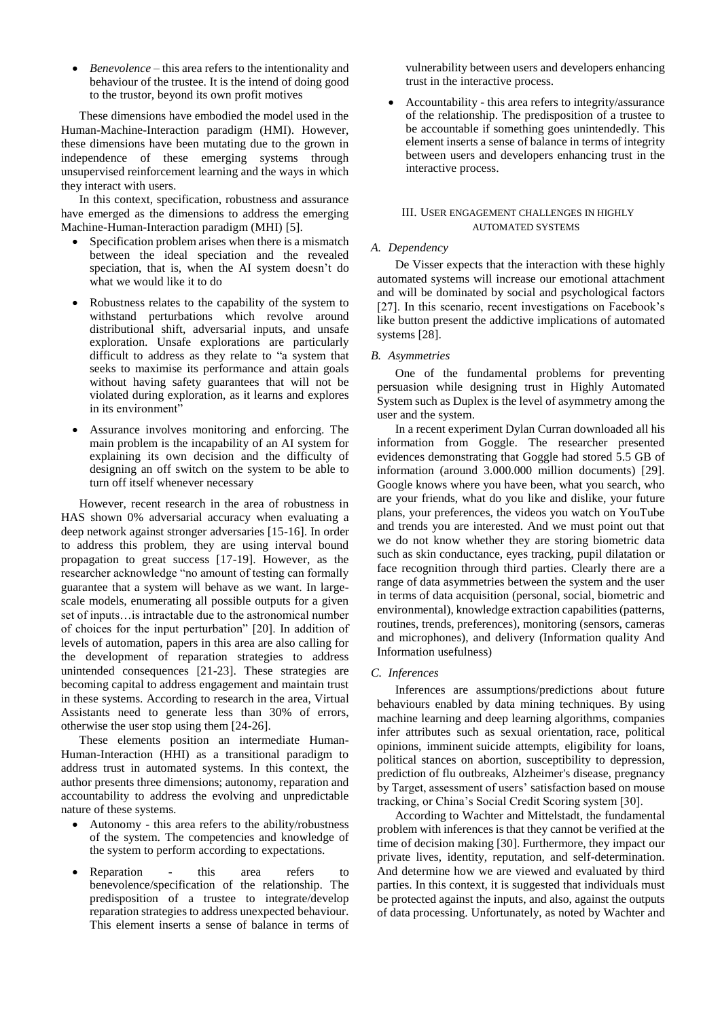*Benevolence* – this area refers to the intentionality and behaviour of the trustee. It is the intend of doing good to the trustor, beyond its own profit motives

These dimensions have embodied the model used in the Human-Machine-Interaction paradigm (HMI). However, these dimensions have been mutating due to the grown in independence of these emerging systems through unsupervised reinforcement learning and the ways in which they interact with users.

In this context, specification, robustness and assurance have emerged as the dimensions to address the emerging Machine-Human-Interaction paradigm (MHI) [5].

- Specification problem arises when there is a mismatch between the ideal speciation and the revealed speciation, that is, when the AI system doesn't do what we would like it to do
- Robustness relates to the capability of the system to withstand perturbations which revolve around distributional shift, adversarial inputs, and unsafe exploration. Unsafe explorations are particularly difficult to address as they relate to "a system that seeks to maximise its performance and attain goals without having safety guarantees that will not be violated during exploration, as it learns and explores in its environment"
- Assurance involves monitoring and enforcing. The main problem is the incapability of an AI system for explaining its own decision and the difficulty of designing an off switch on the system to be able to turn off itself whenever necessary

However, recent research in the area of robustness in HAS shown 0% adversarial accuracy when evaluating a deep network against stronger adversaries [15-16]. In order to address this problem, they are using interval bound propagation to great success [17-19]. However, as the researcher acknowledge "no amount of testing can formally guarantee that a system will behave as we want. In largescale models, enumerating all possible outputs for a given set of inputs…is intractable due to the astronomical number of choices for the input perturbation" [20]. In addition of levels of automation, papers in this area are also calling for the development of reparation strategies to address unintended consequences [21-23]. These strategies are becoming capital to address engagement and maintain trust in these systems. According to research in the area, Virtual Assistants need to generate less than 30% of errors, otherwise the user stop using them [24-26].

These elements position an intermediate Human-Human-Interaction (HHI) as a transitional paradigm to address trust in automated systems. In this context, the author presents three dimensions; autonomy, reparation and accountability to address the evolving and unpredictable nature of these systems.

- Autonomy this area refers to the ability/robustness of the system. The competencies and knowledge of the system to perform according to expectations.
- Reparation this area refers to benevolence/specification of the relationship. The predisposition of a trustee to integrate/develop reparation strategies to address unexpected behaviour. This element inserts a sense of balance in terms of

vulnerability between users and developers enhancing trust in the interactive process.

 Accountability - this area refers to integrity/assurance of the relationship. The predisposition of a trustee to be accountable if something goes unintendedly. This element inserts a sense of balance in terms of integrity between users and developers enhancing trust in the interactive process.

### III. USER ENGAGEMENT CHALLENGES IN HIGHLY AUTOMATED SYSTEMS

## *A. Dependency*

De Visser expects that the interaction with these highly automated systems will increase our emotional attachment and will be dominated by social and psychological factors [27]. In this scenario, recent investigations on Facebook's like button present the addictive implications of automated systems [28].

### *B. Asymmetries*

One of the fundamental problems for preventing persuasion while designing trust in Highly Automated System such as Duplex is the level of asymmetry among the user and the system.

In a recent experiment Dylan Curran downloaded all his information from Goggle. The researcher presented evidences demonstrating that Goggle had stored 5.5 GB of information (around 3.000.000 million documents) [29]. Google knows where you have been, what you search, who are your friends, what do you like and dislike, your future plans, your preferences, the videos you watch on YouTube and trends you are interested. And we must point out that we do not know whether they are storing biometric data such as skin conductance, eyes tracking, pupil dilatation or face recognition through third parties. Clearly there are a range of data asymmetries between the system and the user in terms of data acquisition (personal, social, biometric and environmental), knowledge extraction capabilities (patterns, routines, trends, preferences), monitoring (sensors, cameras and microphones), and delivery (Information quality And Information usefulness)

## *C. Inferences*

Inferences are assumptions/predictions about future behaviours enabled by data mining techniques. By using machine learning and deep learning algorithms, companies infer attributes such as sexual orientation, race, political opinions, imminent suicide attempts, eligibility for loans, political stances on abortion, susceptibility to depression, prediction of flu outbreaks, Alzheimer's disease, pregnancy by Target, assessment of users' satisfaction based on mouse tracking, or China's Social Credit Scoring system [30].

According to Wachter and Mittelstadt, the fundamental problem with inferences is that they cannot be verified at the time of decision making [30]. Furthermore, they impact our private lives, identity, reputation, and self-determination. And determine how we are viewed and evaluated by third parties. In this context, it is suggested that individuals must be protected against the inputs, and also, against the outputs of data processing. Unfortunately, as noted by Wachter and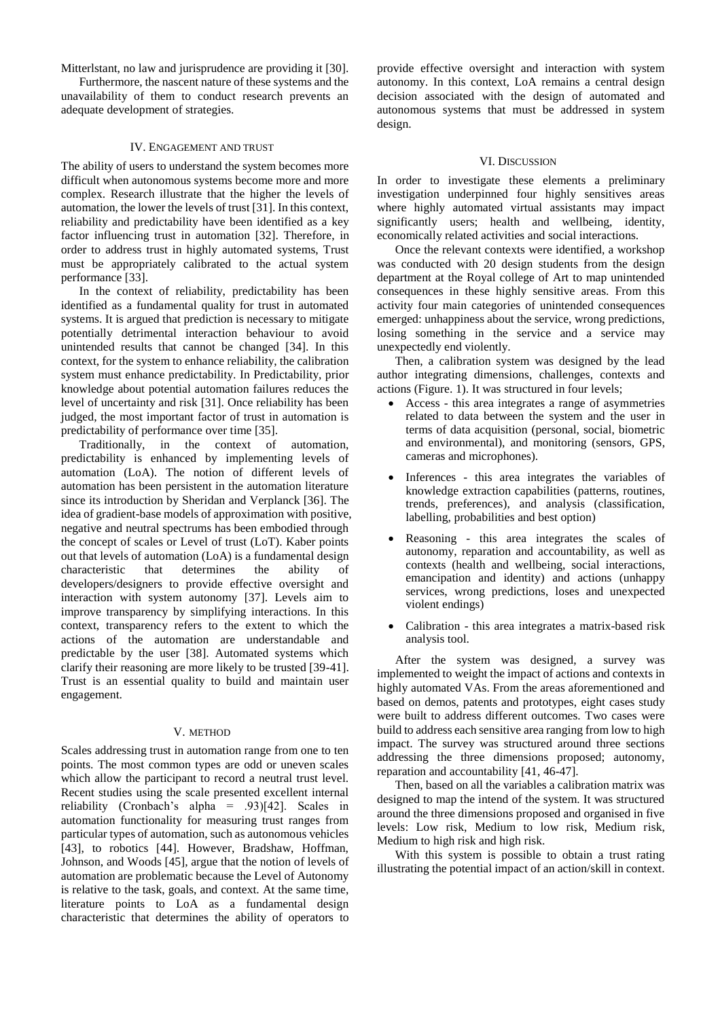Mitterlstant, no law and jurisprudence are providing it [30].

Furthermore, the nascent nature of these systems and the unavailability of them to conduct research prevents an adequate development of strategies.

## IV. ENGAGEMENT AND TRUST

The ability of users to understand the system becomes more difficult when autonomous systems become more and more complex. Research illustrate that the higher the levels of automation, the lower the levels of trust [31]. In this context, reliability and predictability have been identified as a key factor influencing trust in automation [32]. Therefore, in order to address trust in highly automated systems, Trust must be appropriately calibrated to the actual system performance [33].

In the context of reliability, predictability has been identified as a fundamental quality for trust in automated systems. It is argued that prediction is necessary to mitigate potentially detrimental interaction behaviour to avoid unintended results that cannot be changed [34]. In this context, for the system to enhance reliability, the calibration system must enhance predictability. In Predictability, prior knowledge about potential automation failures reduces the level of uncertainty and risk [31]. Once reliability has been judged, the most important factor of trust in automation is predictability of performance over time [35].

Traditionally, in the context of automation, predictability is enhanced by implementing levels of automation (LoA). The notion of different levels of automation has been persistent in the automation literature since its introduction by Sheridan and Verplanck [36]. The idea of gradient-base models of approximation with positive, negative and neutral spectrums has been embodied through the concept of scales or Level of trust (LoT). Kaber points out that levels of automation (LoA) is a fundamental design characteristic that determines the ability of developers/designers to provide effective oversight and interaction with system autonomy [37]. Levels aim to improve transparency by simplifying interactions. In this context, transparency refers to the extent to which the actions of the automation are understandable and predictable by the user [38]. Automated systems which clarify their reasoning are more likely to be trusted [39-41]. Trust is an essential quality to build and maintain user engagement.

### V. METHOD

Scales addressing trust in automation range from one to ten points. The most common types are odd or uneven scales which allow the participant to record a neutral trust level. Recent studies using the scale presented excellent internal reliability (Cronbach's alpha = .93)[42]. Scales in automation functionality for measuring trust ranges from particular types of automation, such as autonomous vehicles [43], to robotics [44]. However, Bradshaw, Hoffman, Johnson, and Woods [45], argue that the notion of levels of automation are problematic because the Level of Autonomy is relative to the task, goals, and context. At the same time, literature points to LoA as a fundamental design characteristic that determines the ability of operators to

provide effective oversight and interaction with system autonomy. In this context, LoA remains a central design decision associated with the design of automated and autonomous systems that must be addressed in system design.

#### VI. DISCUSSION

In order to investigate these elements a preliminary investigation underpinned four highly sensitives areas where highly automated virtual assistants may impact significantly users; health and wellbeing, identity, economically related activities and social interactions.

Once the relevant contexts were identified, a workshop was conducted with 20 design students from the design department at the Royal college of Art to map unintended consequences in these highly sensitive areas. From this activity four main categories of unintended consequences emerged: unhappiness about the service, wrong predictions, losing something in the service and a service may unexpectedly end violently.

Then, a calibration system was designed by the lead author integrating dimensions, challenges, contexts and actions (Figure. 1). It was structured in four levels;

- Access this area integrates a range of asymmetries related to data between the system and the user in terms of data acquisition (personal, social, biometric and environmental), and monitoring (sensors, GPS, cameras and microphones).
- Inferences this area integrates the variables of knowledge extraction capabilities (patterns, routines, trends, preferences), and analysis (classification, labelling, probabilities and best option)
- Reasoning this area integrates the scales of autonomy, reparation and accountability, as well as contexts (health and wellbeing, social interactions, emancipation and identity) and actions (unhappy services, wrong predictions, loses and unexpected violent endings)
- Calibration this area integrates a matrix-based risk analysis tool.

After the system was designed, a survey was implemented to weight the impact of actions and contexts in highly automated VAs. From the areas aforementioned and based on demos, patents and prototypes, eight cases study were built to address different outcomes. Two cases were build to address each sensitive area ranging from low to high impact. The survey was structured around three sections addressing the three dimensions proposed; autonomy, reparation and accountability [41, 46-47].

Then, based on all the variables a calibration matrix was designed to map the intend of the system. It was structured around the three dimensions proposed and organised in five levels: Low risk, Medium to low risk, Medium risk, Medium to high risk and high risk.

With this system is possible to obtain a trust rating illustrating the potential impact of an action/skill in context.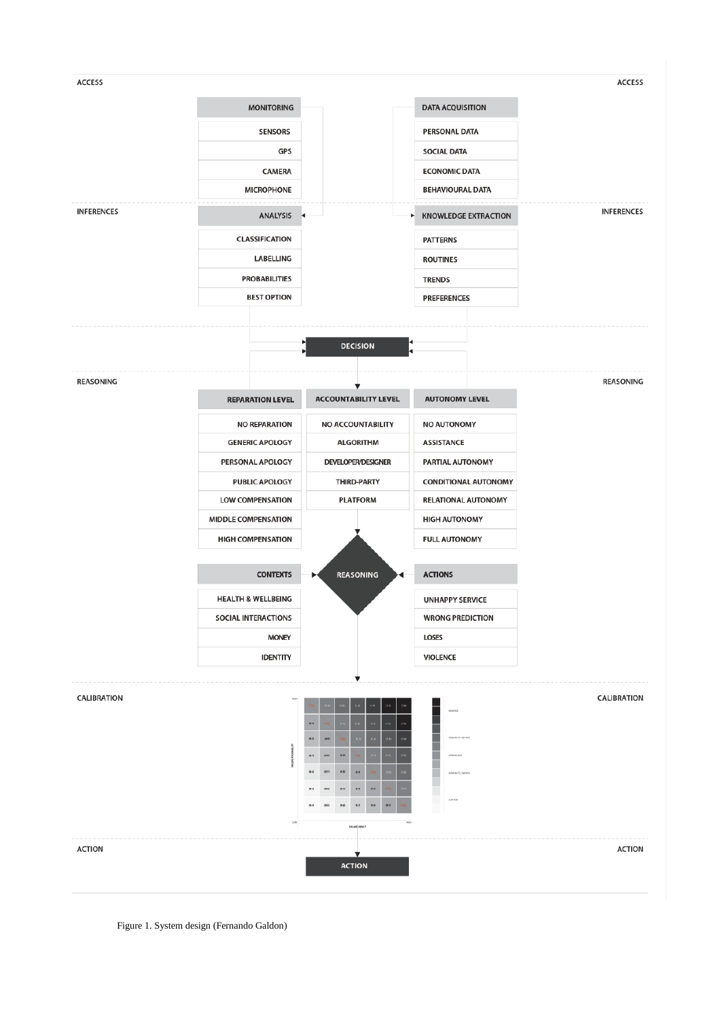

Figure 1. System design (Fernando Galdon)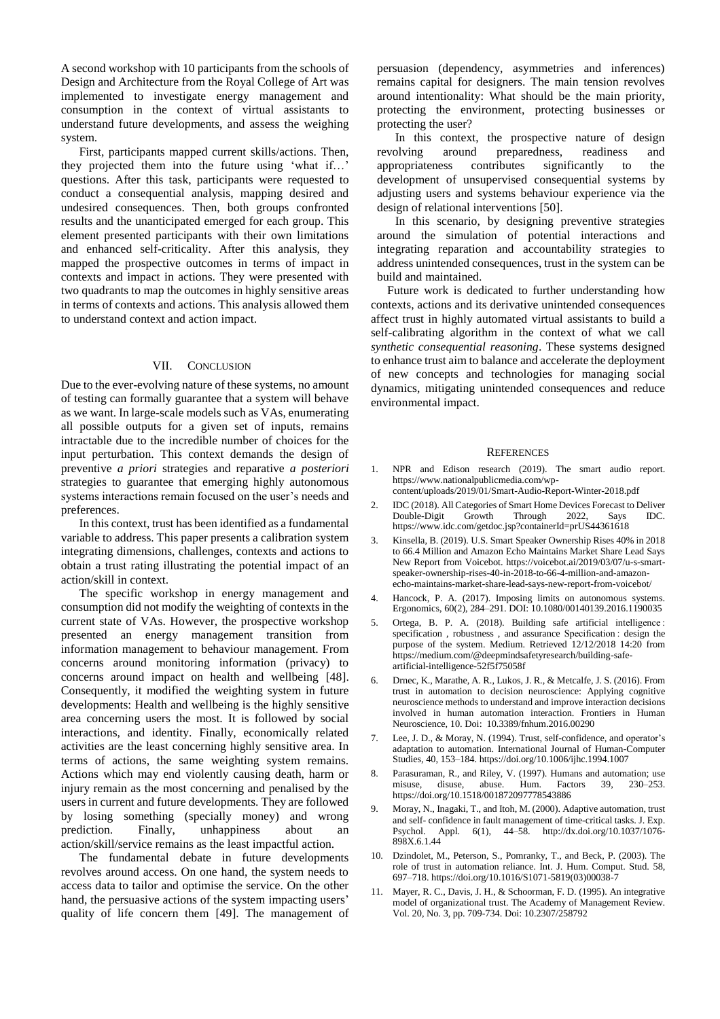A second workshop with 10 participants from the schools of Design and Architecture from the Royal College of Art was implemented to investigate energy management and consumption in the context of virtual assistants to understand future developments, and assess the weighing system.

First, participants mapped current skills/actions. Then, they projected them into the future using 'what if…' questions. After this task, participants were requested to conduct a consequential analysis, mapping desired and undesired consequences. Then, both groups confronted results and the unanticipated emerged for each group. This element presented participants with their own limitations and enhanced self-criticality. After this analysis, they mapped the prospective outcomes in terms of impact in contexts and impact in actions. They were presented with two quadrants to map the outcomes in highly sensitive areas in terms of contexts and actions. This analysis allowed them to understand context and action impact.

#### VII. CONCLUSION

Due to the ever-evolving nature of these systems, no amount of testing can formally guarantee that a system will behave as we want. In large-scale models such as VAs, enumerating all possible outputs for a given set of inputs, remains intractable due to the incredible number of choices for the input perturbation. This context demands the design of preventive *a priori* strategies and reparative *a posteriori* strategies to guarantee that emerging highly autonomous systems interactions remain focused on the user's needs and preferences.

In this context, trust has been identified as a fundamental variable to address. This paper presents a calibration system integrating dimensions, challenges, contexts and actions to obtain a trust rating illustrating the potential impact of an action/skill in context.

The specific workshop in energy management and consumption did not modify the weighting of contexts in the current state of VAs. However, the prospective workshop presented an energy management transition from information management to behaviour management. From concerns around monitoring information (privacy) to concerns around impact on health and wellbeing [48]. Consequently, it modified the weighting system in future developments: Health and wellbeing is the highly sensitive area concerning users the most. It is followed by social interactions, and identity. Finally, economically related activities are the least concerning highly sensitive area. In terms of actions, the same weighting system remains. Actions which may end violently causing death, harm or injury remain as the most concerning and penalised by the users in current and future developments. They are followed by losing something (specially money) and wrong prediction. Finally, unhappiness about an action/skill/service remains as the least impactful action.

The fundamental debate in future developments revolves around access. On one hand, the system needs to access data to tailor and optimise the service. On the other hand, the persuasive actions of the system impacting users' quality of life concern them [49]. The management of persuasion (dependency, asymmetries and inferences) remains capital for designers. The main tension revolves around intentionality: What should be the main priority, protecting the environment, protecting businesses or protecting the user?

In this context, the prospective nature of design revolving around preparedness, readiness and appropriateness contributes significantly to the development of unsupervised consequential systems by adjusting users and systems behaviour experience via the design of relational interventions [50].

In this scenario, by designing preventive strategies around the simulation of potential interactions and integrating reparation and accountability strategies to address unintended consequences, trust in the system can be build and maintained.

Future work is dedicated to further understanding how contexts, actions and its derivative unintended consequences affect trust in highly automated virtual assistants to build a self-calibrating algorithm in the context of what we call *synthetic consequential reasoning*. These systems designed to enhance trust aim to balance and accelerate the deployment of new concepts and technologies for managing social dynamics, mitigating unintended consequences and reduce environmental impact.

#### **REFERENCES**

- 1. NPR and Edison research (2019). The smart audio report. https://www.nationalpublicmedia.com/wpcontent/uploads/2019/01/Smart-Audio-Report-Winter-2018.pdf
- 2. IDC (2018). All Categories of Smart Home Devices Forecast to Deliver<br>Double-Digit Growth Through 2022, Says IDC. Double-Digit Growth Through 2022, Says IDC. https://www.idc.com/getdoc.jsp?containerId=prUS44361618
- 3. Kinsella, B. (2019). U.S. Smart Speaker Ownership Rises 40% in 2018 to 66.4 Million and Amazon Echo Maintains Market Share Lead Says New Report from Voicebot. https://voicebot.ai/2019/03/07/u-s-smartspeaker-ownership-rises-40-in-2018-to-66-4-million-and-amazonecho-maintains-market-share-lead-says-new-report-from-voicebot/
- 4. Hancock, P. A. (2017). Imposing limits on autonomous systems. Ergonomics, 60(2), 284–291. DOI: 10.1080/00140139.2016.1190035
- 5. Ortega, B. P. A. (2018). Building safe artificial intelligence : specification , robustness , and assurance Specification : design the purpose of the system. Medium. Retrieved 12/12/2018 14:20 from https://medium.com/@deepmindsafetyresearch/building-safeartificial-intelligence-52f5f75058f
- 6. Drnec, K., Marathe, A. R., Lukos, J. R., & Metcalfe, J. S. (2016). From trust in automation to decision neuroscience: Applying cognitive neuroscience methods to understand and improve interaction decisions involved in human automation interaction. Frontiers in Human Neuroscience, 10. Doi: 10.3389/fnhum.2016.00290
- 7. Lee, J. D., & Moray, N. (1994). Trust, self-confidence, and operator's adaptation to automation. International Journal of Human-Computer Studies, 40, 153–184. https://doi.org/10.1006/ijhc.1994.1007
- 8. Parasuraman, R., and Riley, V. (1997). Humans and automation; use misuse, disuse, abuse. Hum. Factors 39, 230–253. https://doi.org/10.1518/001872097778543886
- 9. Moray, N., Inagaki, T., and Itoh, M. (2000). Adaptive automation, trust and self- confidence in fault management of time-critical tasks. J. Exp. Psychol. Appl. 6(1), 44–58. http://dx.doi.org/10.1037/1076- 898X.6.1.44
- 10. Dzindolet, M., Peterson, S., Pomranky, T., and Beck, P. (2003). The role of trust in automation reliance. Int. J. Hum. Comput. Stud. 58, 697–718. https://doi.org/10.1016/S1071-5819(03)00038-7
- 11. Mayer, R. C., Davis, J. H., & Schoorman, F. D. (1995). An integrative model of organizational trust. The Academy of Management Review. Vol. 20, No. 3, pp. 709-734. Doi: 10.2307/258792